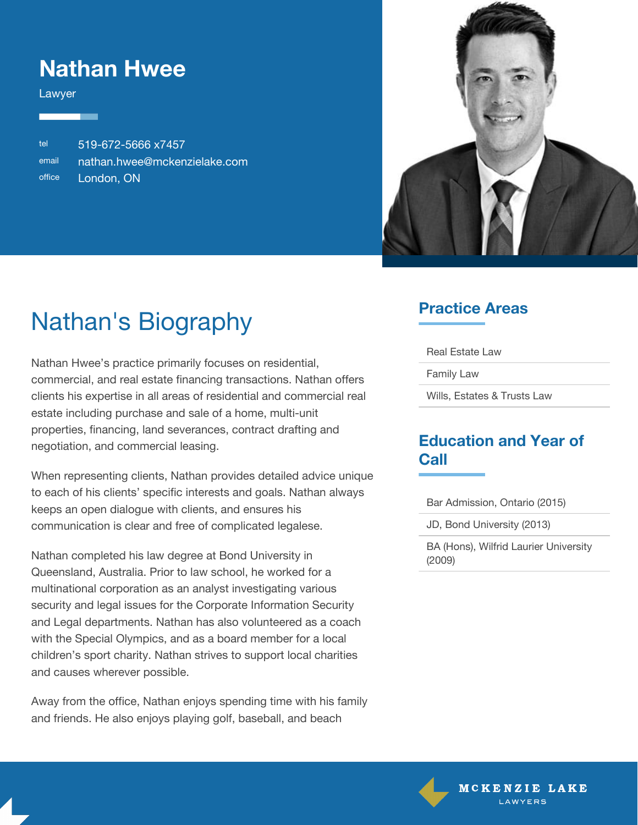### **Nathan Hwee**

Lawyer

tel 519-672-5666 x7457 email [nathan.hwee@mckenzielake.com](#page--1-0) office London, ON



# Nathan's Biography

Nathan Hwee's practice primarily focuses on residential, commercial, and real estate financing transactions. Nathan offers clients his expertise in all areas of residential and commercial real estate including purchase and sale of a home, multi-unit properties, financing, land severances, contract drafting and negotiation, and commercial leasing.

When representing clients, Nathan provides detailed advice unique to each of his clients' specific interests and goals. Nathan always keeps an open dialogue with clients, and ensures his communication is clear and free of complicated legalese.

Nathan completed his law degree at Bond University in Queensland, Australia. Prior to law school, he worked for a multinational corporation as an analyst investigating various security and legal issues for the Corporate Information Security and Legal departments. Nathan has also volunteered as a coach with the Special Olympics, and as a board member for a local children's sport charity. Nathan strives to support local charities and causes wherever possible.

Away from the office, Nathan enjoys spending time with his family and friends. He also enjoys playing golf, baseball, and beach

### **Practice Areas**

Real Estate Law

Family Law

Wills, Estates & Trusts Law

#### **Education and Year of Call**

Bar Admission, Ontario (2015)

JD, Bond University (2013)

BA (Hons), Wilfrid Laurier University (2009)